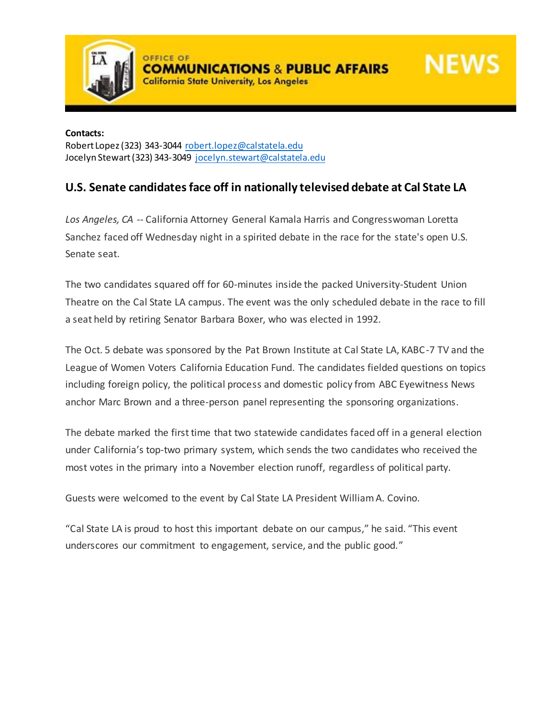

**NEWS** 

**California State University, Los Angeles** 

**Contacts:** Robert Lopez (323) 343-3044 [robert.lopez@calstatela.edu](mailto:robert.lopez@calstatela.edu) Jocelyn Stewart (323) 343-3049 [jocelyn.stewart@calstatela.edu](mailto:jocelyn.stewart@calstatela.edu)

## **U.S. Senate candidates face off in nationally televised debate at Cal State LA**

*Los Angeles, CA --* California Attorney General Kamala Harris and Congresswoman Loretta Sanchez faced off Wednesday night in a spirited debate in the race for the state's open U.S. Senate seat.

The two candidates squared off for 60-minutes inside the packed University-Student Union Theatre on the Cal State LA campus. The event was the only scheduled debate in the race to fill a seat held by retiring Senator Barbara Boxer, who was elected in 1992.

The Oct. 5 debate was sponsored by the Pat Brown Institute at Cal State LA, KABC-7 TV and the League of Women Voters California Education Fund. The candidates fielded questions on topics including foreign policy, the political process and domestic policy from ABC Eyewitness News anchor Marc Brown and a three-person panel representing the sponsoring organizations.

The debate marked the first time that two statewide candidates faced off in a general election under California's top-two primary system, which sends the two candidates who received the most votes in the primary into a November election runoff, regardless of political party.

Guests were welcomed to the event by Cal State LA President William A. Covino.

"Cal State LA is proud to host this important debate on our campus," he said. "This event underscores our commitment to engagement, service, and the public good."